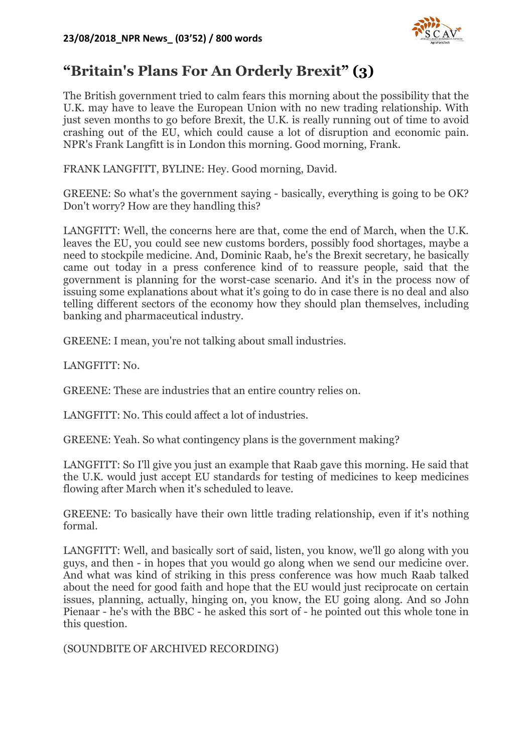

## **"Britain's Plans For An Orderly Brexit" (3)**

The British government tried to calm fears this morning about the possibility that the U.K. may have to leave the European Union with no new trading relationship. With just seven months to go before Brexit, the U.K. is really running out of time to avoid crashing out of the EU, which could cause a lot of disruption and economic pain. NPR's Frank Langfitt is in London this morning. Good morning, Frank.

FRANK LANGFITT, BYLINE: Hey. Good morning, David.

GREENE: So what's the government saying - basically, everything is going to be OK? Don't worry? How are they handling this?

LANGFITT: Well, the concerns here are that, come the end of March, when the U.K. leaves the EU, you could see new customs borders, possibly food shortages, maybe a need to stockpile medicine. And, Dominic Raab, he's the Brexit secretary, he basically came out today in a press conference kind of to reassure people, said that the government is planning for the worst-case scenario. And it's in the process now of issuing some explanations about what it's going to do in case there is no deal and also telling different sectors of the economy how they should plan themselves, including banking and pharmaceutical industry.

GREENE: I mean, you're not talking about small industries.

LANGFITT: No.

GREENE: These are industries that an entire country relies on.

LANGFITT: No. This could affect a lot of industries.

GREENE: Yeah. So what contingency plans is the government making?

LANGFITT: So I'll give you just an example that Raab gave this morning. He said that the U.K. would just accept EU standards for testing of medicines to keep medicines flowing after March when it's scheduled to leave.

GREENE: To basically have their own little trading relationship, even if it's nothing formal.

LANGFITT: Well, and basically sort of said, listen, you know, we'll go along with you guys, and then - in hopes that you would go along when we send our medicine over. And what was kind of striking in this press conference was how much Raab talked about the need for good faith and hope that the EU would just reciprocate on certain issues, planning, actually, hinging on, you know, the EU going along. And so John Pienaar - he's with the BBC - he asked this sort of - he pointed out this whole tone in this question.

(SOUNDBITE OF ARCHIVED RECORDING)